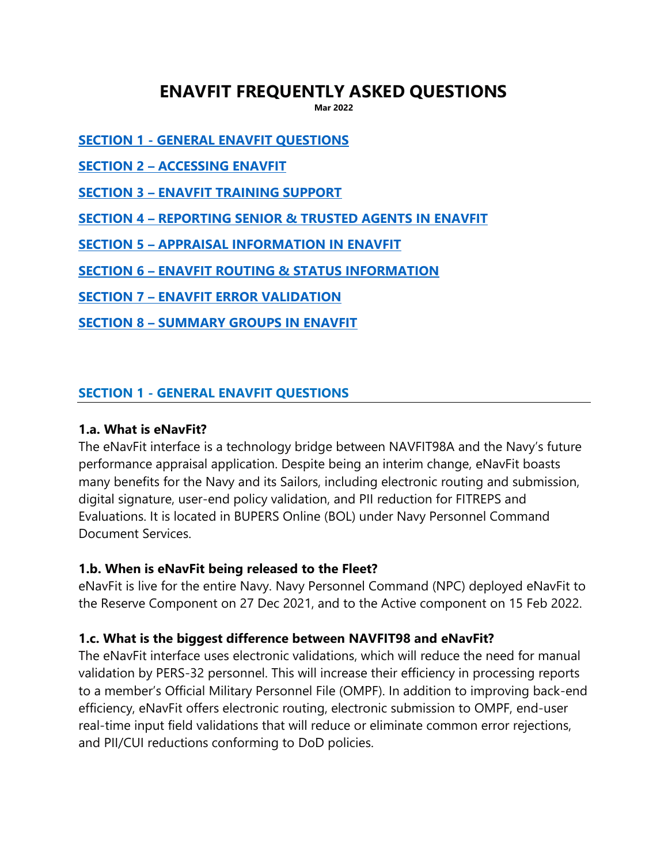# **ENAVFIT FREQUENTLY ASKED QUESTIONS**

**Mar 2022**

**SECTION 1 - [GENERAL ENAVFIT QUESTIONS](#page-0-0)**

**SECTION 2 – [ACCESSING ENAVFIT](#page-2-0)**

**SECTION 3 – [ENAVFIT TRAINING SUPPORT](#page-2-1)**

**SECTION 4 – [REPORTING SENIOR & TRUSTED AGENTS IN ENAVFIT](#page-3-0)**

**SECTION 5 – [APPRAISAL INFORMATION IN ENAVFIT](#page-4-0)**

**SECTION 6 – [ENAVFIT ROUTING & STATUS INFORMATION](#page-6-0)**

**SECTION 7 – [ENAVFIT ERROR VALIDATION](#page-7-0)**

**SECTION 8 – [SUMMARY GROUPS IN ENAVFIT](#page-8-0)**

#### <span id="page-0-0"></span>**SECTION 1 - GENERAL ENAVFIT QUESTIONS**

#### **1.a. What is eNavFit?**

The eNavFit interface is a technology bridge between NAVFIT98A and the Navy's future performance appraisal application. Despite being an interim change, eNavFit boasts many benefits for the Navy and its Sailors, including electronic routing and submission, digital signature, user-end policy validation, and PII reduction for FITREPS and Evaluations. It is located in BUPERS Online (BOL) under Navy Personnel Command Document Services.

#### **1.b. When is eNavFit being released to the Fleet?**

eNavFit is live for the entire Navy. Navy Personnel Command (NPC) deployed eNavFit to the Reserve Component on 27 Dec 2021, and to the Active component on 15 Feb 2022.

#### **1.c. What is the biggest difference between NAVFIT98 and eNavFit?**

The eNavFit interface uses electronic validations, which will reduce the need for manual validation by PERS-32 personnel. This will increase their efficiency in processing reports to a member's Official Military Personnel File (OMPF). In addition to improving back-end efficiency, eNavFit offers electronic routing, electronic submission to OMPF, end-user real-time input field validations that will reduce or eliminate common error rejections, and PII/CUI reductions conforming to DoD policies.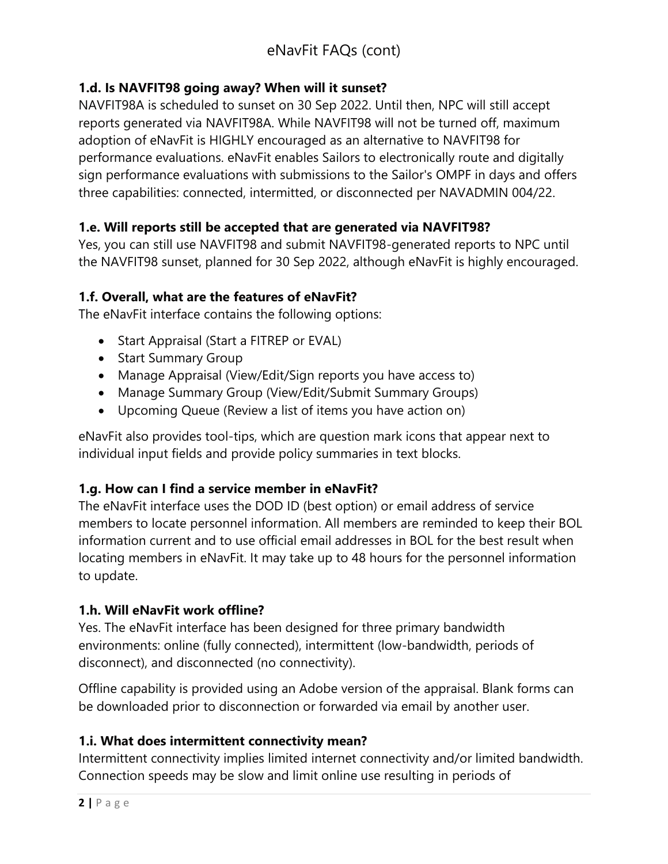# **1.d. Is NAVFIT98 going away? When will it sunset?**

NAVFIT98A is scheduled to sunset on 30 Sep 2022. Until then, NPC will still accept reports generated via NAVFIT98A. While NAVFIT98 will not be turned off, maximum adoption of eNavFit is HIGHLY encouraged as an alternative to NAVFIT98 for performance evaluations. eNavFit enables Sailors to electronically route and digitally sign performance evaluations with submissions to the Sailor's OMPF in days and offers three capabilities: connected, intermitted, or disconnected per [NAVADMIN 004/22.](https://www.mynavyhr.navy.mil/Portals/55/Messages/NAVADMIN/NAV2022/NAV22004.txt)

# **1.e. Will reports still be accepted that are generated via NAVFIT98?**

Yes, you can still use NAVFIT98 and submit NAVFIT98-generated reports to NPC until the NAVFIT98 sunset, planned for 30 Sep 2022, although [eNavFit](https://www.mynavyhr.navy.mil/Career-Management/Performance-Evaluation/eNAVFIT/) is highly encouraged.

# **1.f. Overall, what are the features of eNavFit?**

The eNavFit interface contains the following options:

- Start Appraisal (Start a FITREP or EVAL)
- Start Summary Group
- Manage Appraisal (View/Edit/Sign reports you have access to)
- Manage Summary Group (View/Edit/Submit Summary Groups)
- Upcoming Queue (Review a list of items you have action on)

eNavFit also provides tool-tips, which are question mark icons that appear next to individual input fields and provide policy summaries in text blocks.

# **1.g. How can I find a service member in eNavFit?**

The eNavFit interface uses the DOD ID (best option) or email address of service members to locate personnel information. All members are reminded to keep their BOL information current and to use official email addresses in BOL for the best result when locating members in eNavFit. It may take up to 48 hours for the personnel information to update.

# **1.h. Will eNavFit work offline?**

Yes. The eNavFit interface has been designed for three primary bandwidth environments: online (fully connected), intermittent (low-bandwidth, periods of disconnect), and disconnected (no connectivity).

Offline capability is provided using an Adobe version of the appraisal. Blank forms can be downloaded prior to disconnection or forwarded via email by another user.

#### **1.i. What does intermittent connectivity mean?**

Intermittent connectivity implies limited internet connectivity and/or limited bandwidth. Connection speeds may be slow and limit online use resulting in periods of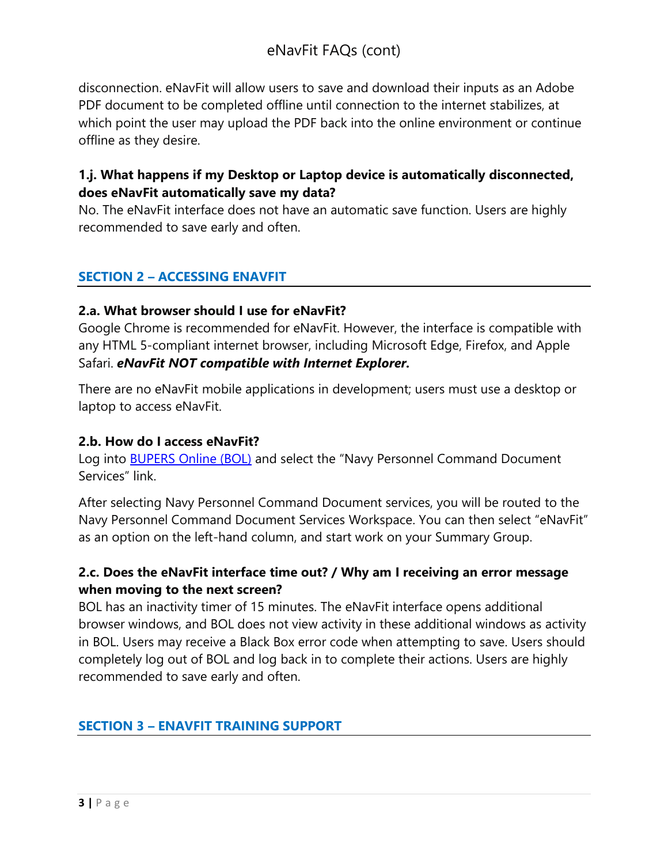disconnection. eNavFit will allow users to save and download their inputs as an Adobe PDF document to be completed offline until connection to the internet stabilizes, at which point the user may upload the PDF back into the online environment or continue offline as they desire.

# **1.j. What happens if my Desktop or Laptop device is automatically disconnected, does eNavFit automatically save my data?**

<span id="page-2-0"></span>No. The eNavFit interface does not have an automatic save function. Users are highly recommended to save early and often.

# **SECTION 2 – ACCESSING ENAVFIT**

## **2.a. What browser should I use for eNavFit?**

Google Chrome is recommended for eNavFit. However, the interface is compatible with any HTML 5-compliant internet browser, including Microsoft Edge, Firefox, and Apple Safari. *eNavFit NOT compatible with Internet Explorer.*

There are no eNavFit mobile applications in development; users must use a desktop or laptop to access eNavFit.

#### **2.b. How do I access eNavFit?**

Log into [BUPERS Online \(BOL\)](https://www.bol.navy.mil/BAM/) and select the "Navy Personnel Command Document Services" link.

After selecting Navy Personnel Command Document services, you will be routed to the Navy Personnel Command Document Services Workspace. You can then select "eNavFit" as an option on the left-hand column, and start work on your Summary Group.

# **2.c. Does the eNavFit interface time out? / Why am I receiving an error message when moving to the next screen?**

BOL has an inactivity timer of 15 minutes. The eNavFit interface opens additional browser windows, and BOL does not view activity in these additional windows as activity in BOL. Users may receive a Black Box error code when attempting to save. Users should completely log out of BOL and log back in to complete their actions. Users are highly recommended to save early and often.

# <span id="page-2-1"></span>**SECTION 3 – ENAVFIT TRAINING SUPPORT**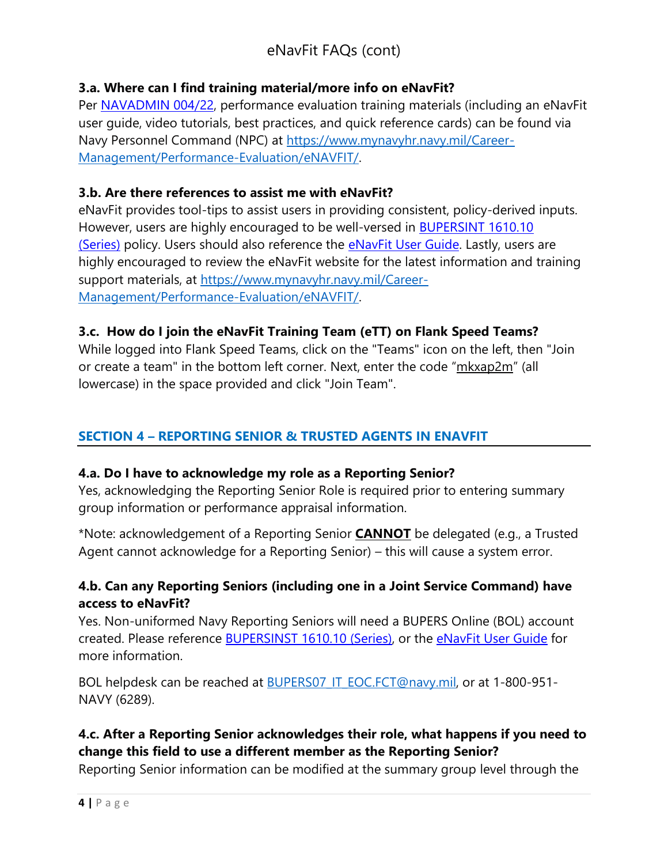# eNavFit FAQs (cont)

#### **3.a. Where can I find training material/more info on eNavFit?**

Per [NAVADMIN 004/22,](https://www.mynavyhr.navy.mil/Portals/55/Messages/NAVADMIN/NAV2022/NAV22004.txt) performance evaluation training materials (including an eNavFit user guide, video tutorials, best practices, and quick reference cards) can be found via Navy Personnel Command (NPC) at [https://www.mynavyhr.navy.mil/Career-](https://www.mynavyhr.navy.mil/Career-Management/Performance-Evaluation/eNAVFIT/)[Management/Performance-Evaluation/eNAVFIT/.](https://www.mynavyhr.navy.mil/Career-Management/Performance-Evaluation/eNAVFIT/)

#### **3.b. Are there references to assist me with eNavFit?**

eNavFit provides tool-tips to assist users in providing consistent, policy-derived inputs. However, users are highly encouraged to be well-versed in [BUPERSINT 1610.10](https://www.mynavyhr.navy.mil/References/Instructions/BUPERS-Instructions/)  [\(Series\)](https://www.mynavyhr.navy.mil/References/Instructions/BUPERS-Instructions/) policy. Users should also reference the **eNavFit User Guide**. Lastly, users are highly encouraged to review the eNavFit website for the latest information and training support materials, at [https://www.mynavyhr.navy.mil/Career-](https://www.mynavyhr.navy.mil/Career-Management/Performance-Evaluation/eNAVFIT/)[Management/Performance-Evaluation/eNAVFIT/.](https://www.mynavyhr.navy.mil/Career-Management/Performance-Evaluation/eNAVFIT/)

## **3.c. How do I join the eNavFit Training Team (eTT) on Flank Speed Teams?**

While logged into Flank Speed Teams, click on the "Teams" icon on the left, then "Join or create a team" in the bottom left corner. Next, enter the code "mkxap2m" (all lowercase) in the space provided and click "Join Team".

# <span id="page-3-0"></span>**SECTION 4 – REPORTING SENIOR & TRUSTED AGENTS IN ENAVFIT**

#### **4.a. Do I have to acknowledge my role as a Reporting Senior?**

Yes, acknowledging the Reporting Senior Role is required prior to entering summary group information or performance appraisal information.

\*Note: acknowledgement of a Reporting Senior **CANNOT** be delegated (e.g., a Trusted Agent cannot acknowledge for a Reporting Senior) – this will cause a system error.

## **4.b. Can any Reporting Seniors (including one in a Joint Service Command) have access to eNavFit?**

Yes. Non-uniformed Navy Reporting Seniors will need a BUPERS Online (BOL) account created. Please reference [BUPERSINST 1610.10 \(Series\),](https://www.mynavyhr.navy.mil/References/Instructions/BUPERS-Instructions/) or the [eNavFit User Guide](https://www.mynavyhr.navy.mil/Career-Management/Performance-Evaluation/eNAVFIT/) for more information.

BOL helpdesk can be reached at [BUPERS07\\_IT\\_EOC.FCT@navy.mil,](mailto:BUPERS07_IT_EOC.FCT@navy.mil) or at 1-800-951-NAVY (6289).

# **4.c. After a Reporting Senior acknowledges their role, what happens if you need to change this field to use a different member as the Reporting Senior?**

Reporting Senior information can be modified at the summary group level through the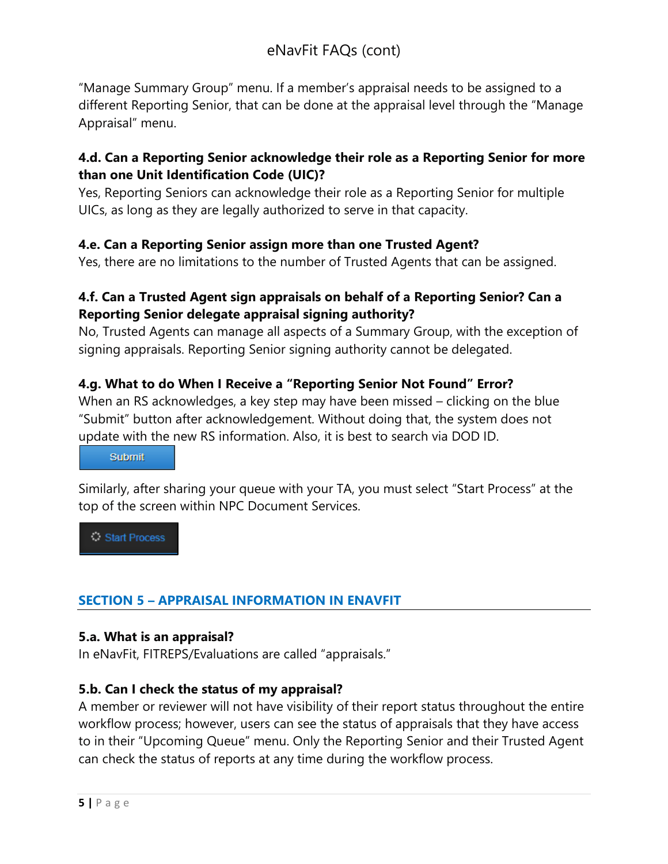"Manage Summary Group" menu. If a member's appraisal needs to be assigned to a different Reporting Senior, that can be done at the appraisal level through the "Manage Appraisal" menu.

# **4.d. Can a Reporting Senior acknowledge their role as a Reporting Senior for more than one Unit Identification Code (UIC)?**

Yes, Reporting Seniors can acknowledge their role as a Reporting Senior for multiple UICs, as long as they are legally authorized to serve in that capacity.

## **4.e. Can a Reporting Senior assign more than one Trusted Agent?**

Yes, there are no limitations to the number of Trusted Agents that can be assigned.

# **4.f. Can a Trusted Agent sign appraisals on behalf of a Reporting Senior? Can a Reporting Senior delegate appraisal signing authority?**

No, Trusted Agents can manage all aspects of a Summary Group, with the exception of signing appraisals. Reporting Senior signing authority cannot be delegated.

# **4.g. What to do When I Receive a "Reporting Senior Not Found" Error?**

When an RS acknowledges, a key step may have been missed – clicking on the blue "Submit" button after acknowledgement. Without doing that, the system does not update with the new RS information. Also, it is best to search via DOD ID.

#### Submit

Similarly, after sharing your queue with your TA, you must select "Start Process" at the top of the screen within NPC Document Services.

Start Process

# <span id="page-4-0"></span>**SECTION 5 – APPRAISAL INFORMATION IN ENAVFIT**

#### **5.a. What is an appraisal?**

In eNavFit, FITREPS/Evaluations are called "appraisals."

#### **5.b. Can I check the status of my appraisal?**

A member or reviewer will not have visibility of their report status throughout the entire workflow process; however, users can see the status of appraisals that they have access to in their "Upcoming Queue" menu. Only the Reporting Senior and their Trusted Agent can check the status of reports at any time during the workflow process.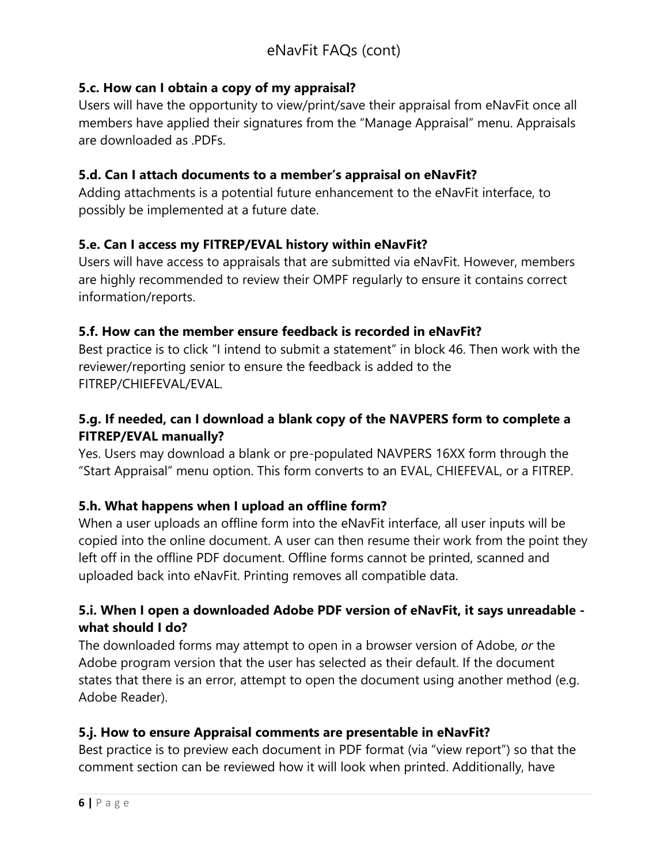# **5.c. How can I obtain a copy of my appraisal?**

Users will have the opportunity to view/print/save their appraisal from eNavFit once all members have applied their signatures from the "Manage Appraisal" menu. Appraisals are downloaded as .PDFs.

#### **5.d. Can I attach documents to a member's appraisal on eNavFit?**

Adding attachments is a potential future enhancement to the eNavFit interface, to possibly be implemented at a future date.

## **5.e. Can I access my FITREP/EVAL history within eNavFit?**

Users will have access to appraisals that are submitted via eNavFit. However, members are highly recommended to review their OMPF regularly to ensure it contains correct information/reports.

## **5.f. How can the member ensure feedback is recorded in eNavFit?**

Best practice is to click "I intend to submit a statement" in block 46. Then work with the reviewer/reporting senior to ensure the feedback is added to the FITREP/CHIEFEVAL/EVAL.

# **5.g. If needed, can I download a blank copy of the NAVPERS form to complete a FITREP/EVAL manually?**

Yes. Users may download a blank or pre-populated NAVPERS 16XX form through the "Start Appraisal" menu option. This form converts to an EVAL, CHIEFEVAL, or a FITREP.

#### **5.h. What happens when I upload an offline form?**

When a user uploads an offline form into the eNavFit interface, all user inputs will be copied into the online document. A user can then resume their work from the point they left off in the offline PDF document. Offline forms cannot be printed, scanned and uploaded back into eNavFit. Printing removes all compatible data.

# **5.i. When I open a downloaded Adobe PDF version of eNavFit, it says unreadable what should I do?**

The downloaded forms may attempt to open in a browser version of Adobe, *or* the Adobe program version that the user has selected as their default. If the document states that there is an error, attempt to open the document using another method (e.g. Adobe Reader).

#### **5.j. How to ensure Appraisal comments are presentable in eNavFit?**

Best practice is to preview each document in PDF format (via "view report") so that the comment section can be reviewed how it will look when printed. Additionally, have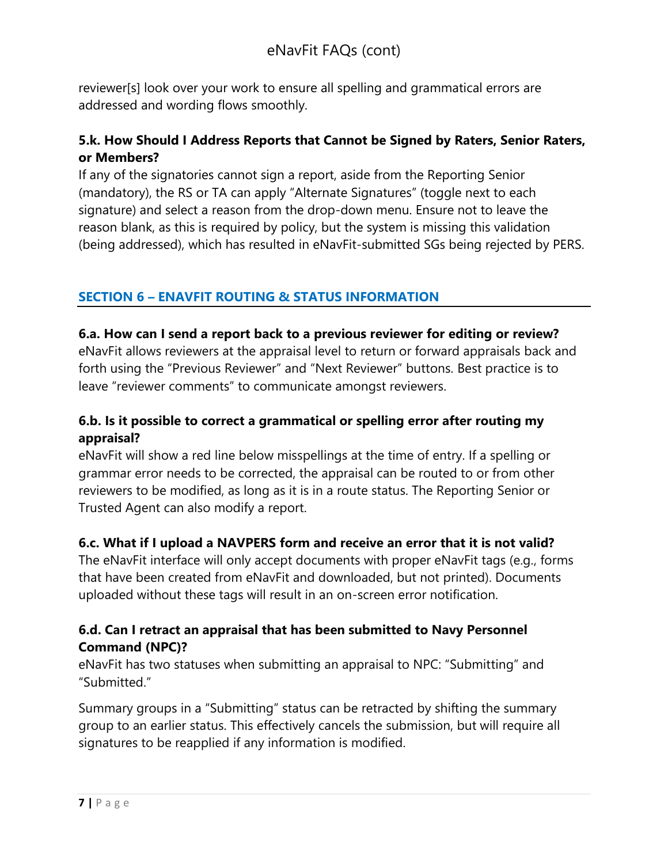reviewer[s] look over your work to ensure all spelling and grammatical errors are addressed and wording flows smoothly.

# **5.k. How Should I Address Reports that Cannot be Signed by Raters, Senior Raters, or Members?**

If any of the signatories cannot sign a report, aside from the Reporting Senior (mandatory), the RS or TA can apply "Alternate Signatures" (toggle next to each signature) and select a reason from the drop-down menu. Ensure not to leave the reason blank, as this is required by policy, but the system is missing this validation (being addressed), which has resulted in eNavFit-submitted SGs being rejected by PERS.

# <span id="page-6-0"></span>**SECTION 6 – ENAVFIT ROUTING & STATUS INFORMATION**

# **6.a. How can I send a report back to a previous reviewer for editing or review?**

eNavFit allows reviewers at the appraisal level to return or forward appraisals back and forth using the "Previous Reviewer" and "Next Reviewer" buttons. Best practice is to leave "reviewer comments" to communicate amongst reviewers.

# **6.b. Is it possible to correct a grammatical or spelling error after routing my appraisal?**

eNavFit will show a red line below misspellings at the time of entry. If a spelling or grammar error needs to be corrected, the appraisal can be routed to or from other reviewers to be modified, as long as it is in a route status. The Reporting Senior or Trusted Agent can also modify a report.

# **6.c. What if I upload a NAVPERS form and receive an error that it is not valid?**

The eNavFit interface will only accept documents with proper eNavFit tags (e.g., forms that have been created from eNavFit and downloaded, but not printed). Documents uploaded without these tags will result in an on-screen error notification.

# **6.d. Can I retract an appraisal that has been submitted to Navy Personnel Command (NPC)?**

eNavFit has two statuses when submitting an appraisal to NPC: "Submitting" and "Submitted."

Summary groups in a "Submitting" status can be retracted by shifting the summary group to an earlier status. This effectively cancels the submission, but will require all signatures to be reapplied if any information is modified.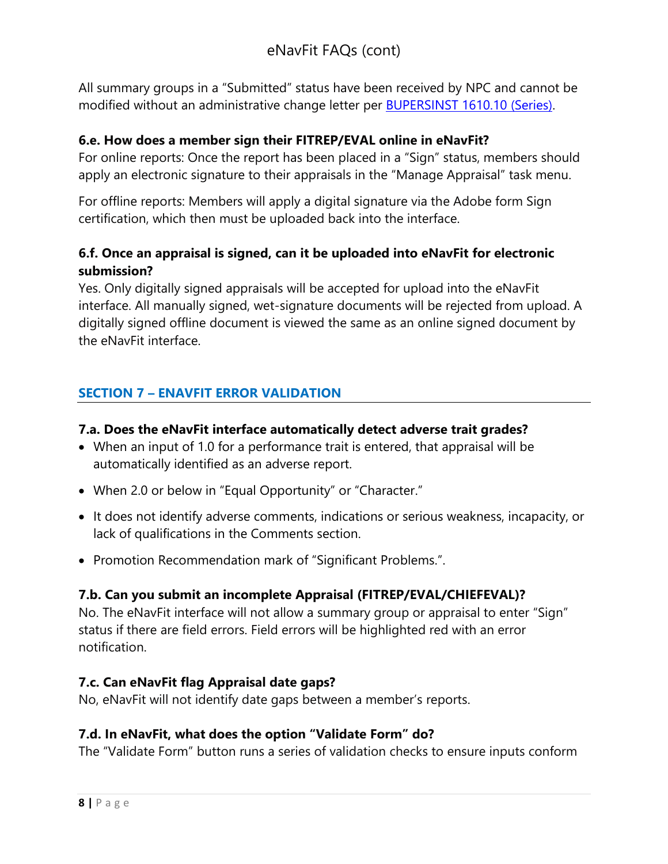All summary groups in a "Submitted" status have been received by NPC and cannot be modified without an administrative change letter per [BUPERSINST 1610.10](https://www.mynavyhr.navy.mil/References/Instructions/BUPERS-Instructions/) (Series).

#### **6.e. How does a member sign their FITREP/EVAL online in eNavFit?**

For online reports: Once the report has been placed in a "Sign" status, members should apply an electronic signature to their appraisals in the "Manage Appraisal" task menu.

For offline reports: Members will apply a digital signature via the Adobe form Sign certification, which then must be uploaded back into the interface.

# **6.f. Once an appraisal is signed, can it be uploaded into eNavFit for electronic submission?**

Yes. Only digitally signed appraisals will be accepted for upload into the eNavFit interface. All manually signed, wet-signature documents will be rejected from upload. A digitally signed offline document is viewed the same as an online signed document by the eNavFit interface.

## <span id="page-7-0"></span>**SECTION 7 – ENAVFIT ERROR VALIDATION**

#### **7.a. Does the eNavFit interface automatically detect adverse trait grades?**

- When an input of 1.0 for a performance trait is entered, that appraisal will be automatically identified as an adverse report.
- When 2.0 or below in "Equal Opportunity" or "Character."
- It does not identify adverse comments, indications or serious weakness, incapacity, or lack of qualifications in the Comments section.
- Promotion Recommendation mark of "Significant Problems.".

#### **7.b. Can you submit an incomplete Appraisal (FITREP/EVAL/CHIEFEVAL)?**

No. The eNavFit interface will not allow a summary group or appraisal to enter "Sign" status if there are field errors. Field errors will be highlighted red with an error notification.

#### **7.c. Can eNavFit flag Appraisal date gaps?**

No, eNavFit will not identify date gaps between a member's reports.

#### **7.d. In eNavFit, what does the option "Validate Form" do?**

The "Validate Form" button runs a series of validation checks to ensure inputs conform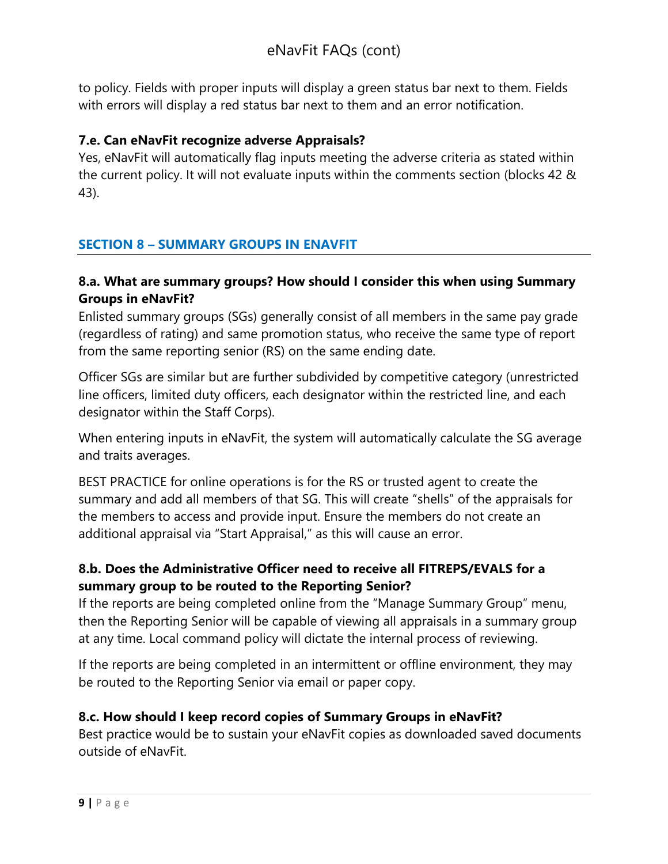to policy. Fields with proper inputs will display a green status bar next to them. Fields with errors will display a red status bar next to them and an error notification.

## **7.e. Can eNavFit recognize adverse Appraisals?**

Yes, eNavFit will automatically flag inputs meeting the adverse criteria as stated within the current policy. It will not evaluate inputs within the comments section (blocks 42 & 43).

# <span id="page-8-0"></span>**SECTION 8 – SUMMARY GROUPS IN ENAVFIT**

## **8.a. What are summary groups? How should I consider this when using Summary Groups in eNavFit?**

Enlisted summary groups (SGs) generally consist of all members in the same pay grade (regardless of rating) and same promotion status, who receive the same type of report from the same reporting senior (RS) on the same ending date.

Officer SGs are similar but are further subdivided by competitive category (unrestricted line officers, limited duty officers, each designator within the restricted line, and each designator within the Staff Corps).

When entering inputs in eNavFit, the system will automatically calculate the SG average and traits averages.

BEST PRACTICE for online operations is for the RS or trusted agent to create the summary and add all members of that SG. This will create "shells" of the appraisals for the members to access and provide input. Ensure the members do not create an additional appraisal via "Start Appraisal," as this will cause an error.

# **8.b. Does the Administrative Officer need to receive all FITREPS/EVALS for a summary group to be routed to the Reporting Senior?**

If the reports are being completed online from the "Manage Summary Group" menu, then the Reporting Senior will be capable of viewing all appraisals in a summary group at any time. Local command policy will dictate the internal process of reviewing.

If the reports are being completed in an intermittent or offline environment, they may be routed to the Reporting Senior via email or paper copy.

# **8.c. How should I keep record copies of Summary Groups in eNavFit?**

Best practice would be to sustain your eNavFit copies as downloaded saved documents outside of eNavFit.